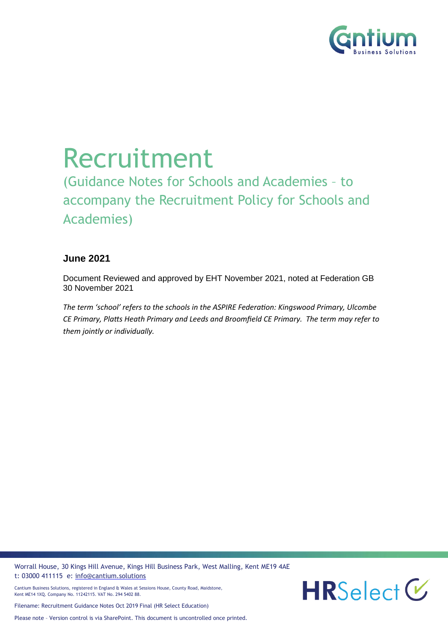

# Recruitment

(Guidance Notes for Schools and Academies – to accompany the Recruitment Policy for Schools and Academies)

#### **June 2021**

Document Reviewed and approved by EHT November 2021, noted at Federation GB 30 November 2021

*The term 'school' refers to the schools in the ASPIRE Federation: Kingswood Primary, Ulcombe CE Primary, Platts Heath Primary and Leeds and Broomfield CE Primary. The term may refer to them jointly or individually.*

Worrall House, 30 Kings Hill Avenue, Kings Hill Business Park, West Malling, Kent ME19 4AE t: 03000 411115 e: [info@cantium.solutions](mailto:info@cantium.solutions)





Filename: Recruitment Guidance Notes Oct 2019 Final (HR Select Education)

Please note – Version control is via SharePoint. This document is uncontrolled once printed.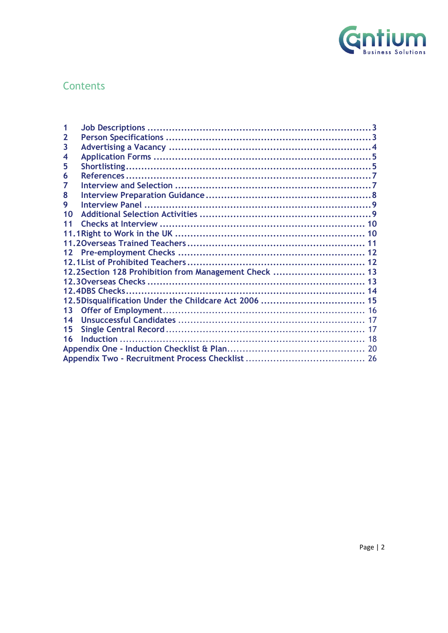

## Contents

| 12.2 Section 128 Prohibition from Management Check  13 |
|--------------------------------------------------------|
|                                                        |
|                                                        |
|                                                        |
|                                                        |
|                                                        |
|                                                        |
|                                                        |
|                                                        |
|                                                        |
|                                                        |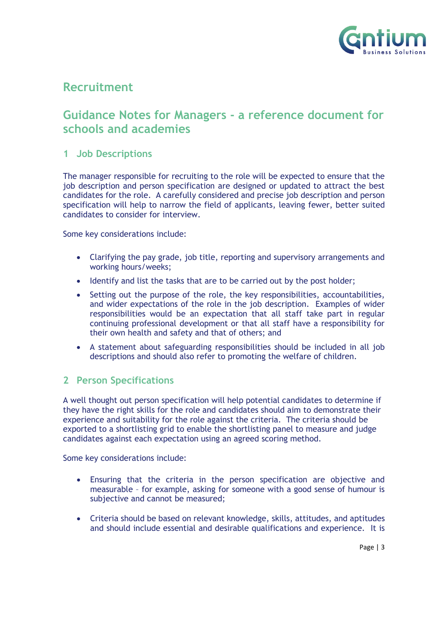

### **Recruitment**

## **Guidance Notes for Managers - a reference document for schools and academies**

#### <span id="page-2-0"></span>**1 Job Descriptions**

The manager responsible for recruiting to the role will be expected to ensure that the job description and person specification are designed or updated to attract the best candidates for the role. A carefully considered and precise job description and person specification will help to narrow the field of applicants, leaving fewer, better suited candidates to consider for interview.

Some key considerations include:

- Clarifying the pay grade, job title, reporting and supervisory arrangements and working hours/weeks;
- Identify and list the tasks that are to be carried out by the post holder;
- Setting out the purpose of the role, the key responsibilities, accountabilities, and wider expectations of the role in the job description. Examples of wider responsibilities would be an expectation that all staff take part in regular continuing professional development or that all staff have a responsibility for their own health and safety and that of others; and
- A statement about safeguarding responsibilities should be included in all job descriptions and should also refer to promoting the welfare of children.

#### <span id="page-2-1"></span>**2 Person Specifications**

A well thought out person specification will help potential candidates to determine if they have the right skills for the role and candidates should aim to demonstrate their experience and suitability for the role against the criteria. The criteria should be exported to a shortlisting grid to enable the shortlisting panel to measure and judge candidates against each expectation using an agreed scoring method.

Some key considerations include:

- Ensuring that the criteria in the person specification are objective and measurable – for example, asking for someone with a good sense of humour is subjective and cannot be measured;
- Criteria should be based on relevant knowledge, skills, attitudes, and aptitudes and should include essential and desirable qualifications and experience. It is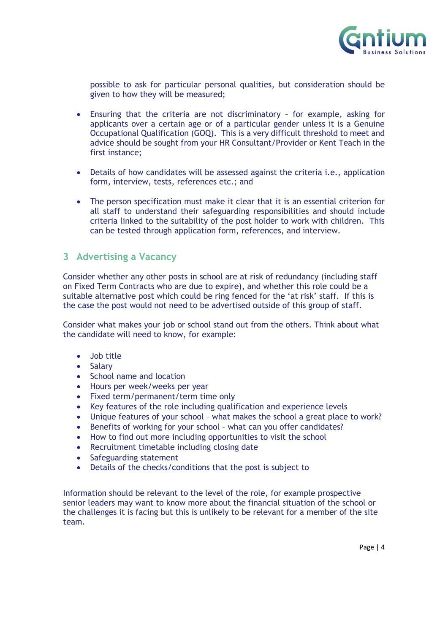

possible to ask for particular personal qualities, but consideration should be given to how they will be measured;

- Ensuring that the criteria are not discriminatory for example, asking for applicants over a certain age or of a particular gender unless it is a Genuine Occupational Qualification (GOQ). This is a very difficult threshold to meet and advice should be sought from your HR Consultant/Provider or Kent Teach in the first instance;
- Details of how candidates will be assessed against the criteria i.e., application form, interview, tests, references etc.; and
- The person specification must make it clear that it is an essential criterion for all staff to understand their safeguarding responsibilities and should include criteria linked to the suitability of the post holder to work with children. This can be tested through application form, references, and interview.

#### <span id="page-3-0"></span>**3 Advertising a Vacancy**

Consider whether any other posts in school are at risk of redundancy (including staff on Fixed Term Contracts who are due to expire), and whether this role could be a suitable alternative post which could be ring fenced for the 'at risk' staff. If this is the case the post would not need to be advertised outside of this group of staff.

Consider what makes your job or school stand out from the others. Think about what the candidate will need to know, for example:

- Job title
- Salary
- School name and location
- Hours per week/weeks per year
- Fixed term/permanent/term time only
- Key features of the role including qualification and experience levels
- Unique features of your school what makes the school a great place to work?
- Benefits of working for your school what can you offer candidates?
- How to find out more including opportunities to visit the school
- Recruitment timetable including closing date
- Safeguarding statement
- Details of the checks/conditions that the post is subject to

Information should be relevant to the level of the role, for example prospective senior leaders may want to know more about the financial situation of the school or the challenges it is facing but this is unlikely to be relevant for a member of the site team.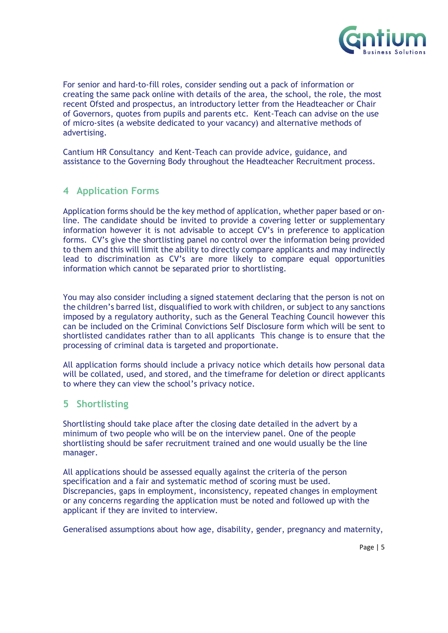

For senior and hard-to-fill roles, consider sending out a pack of information or creating the same pack online with details of the area, the school, the role, the most recent Ofsted and prospectus, an introductory letter from the Headteacher or Chair of Governors, quotes from pupils and parents etc. Kent-Teach can advise on the use of micro-sites (a website dedicated to your vacancy) and alternative methods of advertising.

Cantium HR Consultancy and Kent-Teach can provide advice, guidance, and assistance to the Governing Body throughout the Headteacher Recruitment process.

#### <span id="page-4-0"></span>**4 Application Forms**

Application forms should be the key method of application, whether paper based or online. The candidate should be invited to provide a covering letter or supplementary information however it is not advisable to accept CV's in preference to application forms. CV's give the shortlisting panel no control over the information being provided to them and this will limit the ability to directly compare applicants and may indirectly lead to discrimination as CV's are more likely to compare equal opportunities information which cannot be separated prior to shortlisting.

You may also consider including a signed statement declaring that the person is not on the children's barred list, disqualified to work with children, or subject to any sanctions imposed by a regulatory authority, such as the General Teaching Council however this can be included on the Criminal Convictions Self Disclosure form which will be sent to shortlisted candidates rather than to all applicants This change is to ensure that the processing of criminal data is targeted and proportionate.

All application forms should include a privacy notice which details how personal data will be collated, used, and stored, and the timeframe for deletion or direct applicants to where they can view the school's privacy notice.

#### <span id="page-4-1"></span>**5 Shortlisting**

Shortlisting should take place after the closing date detailed in the advert by a minimum of two people who will be on the interview panel. One of the people shortlisting should be safer recruitment trained and one would usually be the line manager.

All applications should be assessed equally against the criteria of the person specification and a fair and systematic method of scoring must be used. Discrepancies, gaps in employment, inconsistency, repeated changes in employment or any concerns regarding the application must be noted and followed up with the applicant if they are invited to interview.

Generalised assumptions about how age, disability, gender, pregnancy and maternity,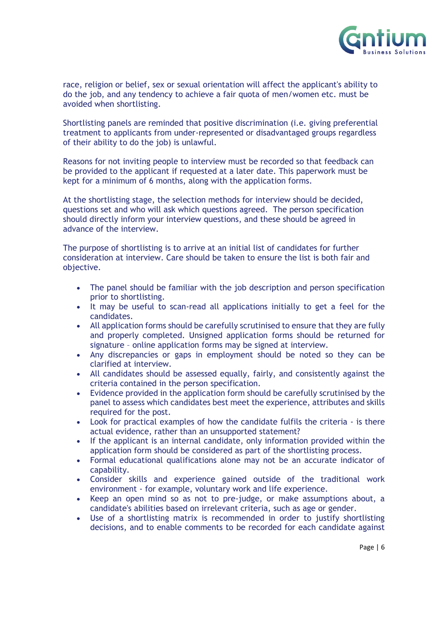

race, religion or belief, sex or sexual orientation will affect the applicant's ability to do the job, and any tendency to achieve a fair quota of men/women etc. must be avoided when shortlisting.

Shortlisting panels are reminded that positive discrimination (i.e. giving preferential treatment to applicants from under-represented or disadvantaged groups regardless of their ability to do the job) is unlawful.

Reasons for not inviting people to interview must be recorded so that feedback can be provided to the applicant if requested at a later date. This paperwork must be kept for a minimum of 6 months, along with the application forms.

At the shortlisting stage, the selection methods for interview should be decided, questions set and who will ask which questions agreed. The person specification should directly inform your interview questions, and these should be agreed in advance of the interview.

The purpose of shortlisting is to arrive at an initial list of candidates for further consideration at interview. Care should be taken to ensure the list is both fair and objective.

- The panel should be familiar with the job description and person specification prior to shortlisting.
- It may be useful to scan-read all applications initially to get a feel for the candidates.
- All application forms should be carefully scrutinised to ensure that they are fully and properly completed. Unsigned application forms should be returned for signature – online application forms may be signed at interview.
- Any discrepancies or gaps in employment should be noted so they can be clarified at interview.
- All candidates should be assessed equally, fairly, and consistently against the criteria contained in the person specification.
- Evidence provided in the application form should be carefully scrutinised by the panel to assess which candidates best meet the experience, attributes and skills required for the post.
- Look for practical examples of how the candidate fulfils the criteria is there actual evidence, rather than an unsupported statement?
- If the applicant is an internal candidate, only information provided within the application form should be considered as part of the shortlisting process.
- Formal educational qualifications alone may not be an accurate indicator of capability.
- Consider skills and experience gained outside of the traditional work environment - for example, voluntary work and life experience.
- Keep an open mind so as not to pre-judge, or make assumptions about, a candidate's abilities based on irrelevant criteria, such as age or gender.
- Use of a shortlisting matrix is recommended in order to justify shortlisting decisions, and to enable comments to be recorded for each candidate against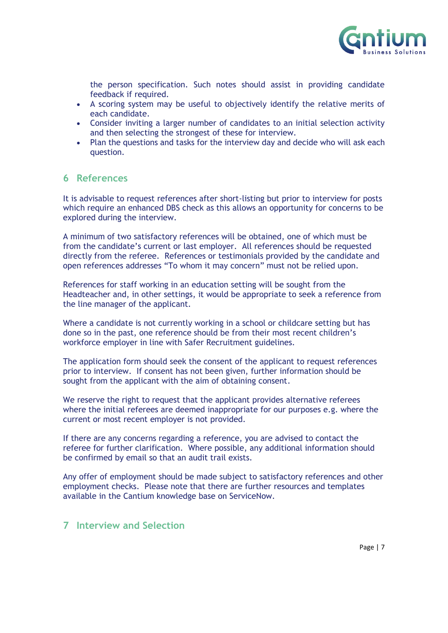

the person specification. Such notes should assist in providing candidate feedback if required.

- A scoring system may be useful to objectively identify the relative merits of each candidate.
- Consider inviting a larger number of candidates to an initial selection activity and then selecting the strongest of these for interview.
- Plan the questions and tasks for the interview day and decide who will ask each question.

#### <span id="page-6-0"></span>**6 References**

It is advisable to request references after short-listing but prior to interview for posts which require an enhanced DBS check as this allows an opportunity for concerns to be explored during the interview.

A minimum of two satisfactory references will be obtained, one of which must be from the candidate's current or last employer. All references should be requested directly from the referee. References or testimonials provided by the candidate and open references addresses "To whom it may concern" must not be relied upon.

References for staff working in an education setting will be sought from the Headteacher and, in other settings, it would be appropriate to seek a reference from the line manager of the applicant.

Where a candidate is not currently working in a school or childcare setting but has done so in the past, one reference should be from their most recent children's workforce employer in line with Safer Recruitment guidelines.

The application form should seek the consent of the applicant to request references prior to interview. If consent has not been given, further information should be sought from the applicant with the aim of obtaining consent.

We reserve the right to request that the applicant provides alternative referees where the initial referees are deemed inappropriate for our purposes e.g. where the current or most recent employer is not provided.

If there are any concerns regarding a reference, you are advised to contact the referee for further clarification. Where possible, any additional information should be confirmed by email so that an audit trail exists.

Any offer of employment should be made subject to satisfactory references and other employment checks. Please note that there are further resources and templates available in the Cantium knowledge base on ServiceNow.

#### <span id="page-6-1"></span>**7 Interview and Selection**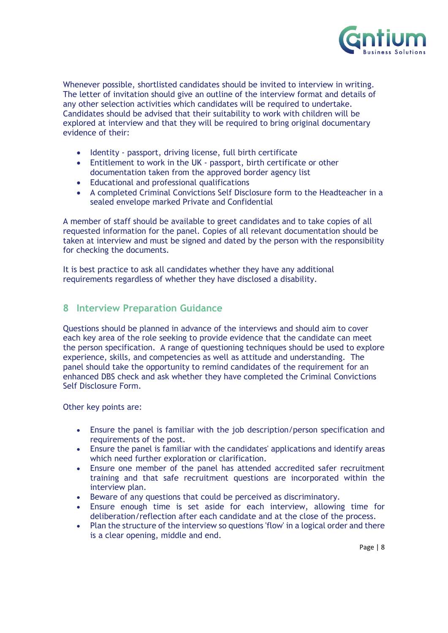

Whenever possible, shortlisted candidates should be invited to interview in writing. The letter of invitation should give an outline of the interview format and details of any other selection activities which candidates will be required to undertake. Candidates should be advised that their suitability to work with children will be explored at interview and that they will be required to bring original documentary evidence of their:

- Identity passport, driving license, full birth certificate
- Entitlement to work in the UK passport, birth certificate or other documentation taken from the approved border agency list
- Educational and professional qualifications
- A completed Criminal Convictions Self Disclosure form to the Headteacher in a sealed envelope marked Private and Confidential

A member of staff should be available to greet candidates and to take copies of all requested information for the panel. Copies of all relevant documentation should be taken at interview and must be signed and dated by the person with the responsibility for checking the documents.

It is best practice to ask all candidates whether they have any additional requirements regardless of whether they have disclosed a disability.

#### <span id="page-7-0"></span>**8 Interview Preparation Guidance**

Questions should be planned in advance of the interviews and should aim to cover each key area of the role seeking to provide evidence that the candidate can meet the person specification. A range of questioning techniques should be used to explore experience, skills, and competencies as well as attitude and understanding. The panel should take the opportunity to remind candidates of the requirement for an enhanced DBS check and ask whether they have completed the Criminal Convictions Self Disclosure Form.

Other key points are:

- Ensure the panel is familiar with the job description/person specification and requirements of the post.
- Ensure the panel is familiar with the candidates' applications and identify areas which need further exploration or clarification.
- Ensure one member of the panel has attended accredited safer recruitment training and that safe recruitment questions are incorporated within the interview plan.
- Beware of any questions that could be perceived as discriminatory.
- Ensure enough time is set aside for each interview, allowing time for deliberation/reflection after each candidate and at the close of the process.
- Plan the structure of the interview so questions 'flow' in a logical order and there is a clear opening, middle and end.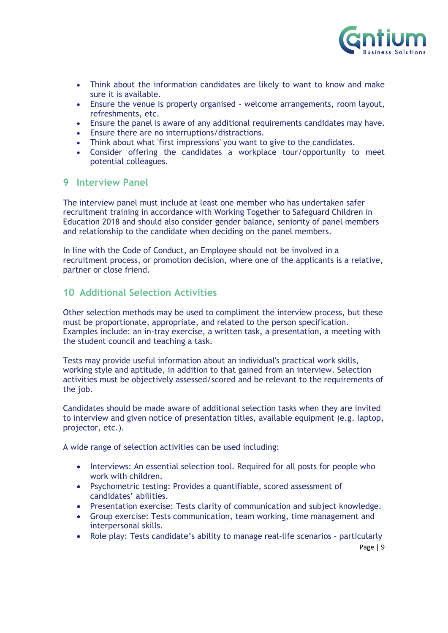

- Think about the information candidates are likely to want to know and make sure it is available.
- Ensure the venue is properly organised welcome arrangements, room layout, refreshments, etc.
- Ensure the panel is aware of any additional requirements candidates may have.
- Ensure there are no interruptions/distractions.
- Think about what 'first impressions' you want to give to the candidates.
- Consider offering the candidates a workplace tour/opportunity to meet potential colleagues.

#### <span id="page-8-0"></span>**9 Interview Panel**

The interview panel must include at least one member who has undertaken safer recruitment training in accordance with Working Together to Safeguard Children in Education 2018 and should also consider gender balance, seniority of panel members and relationship to the candidate when deciding on the panel members.

In line with the Code of Conduct, an Employee should not be involved in a recruitment process, or promotion decision, where one of the applicants is a relative, partner or close friend.

#### <span id="page-8-1"></span>**10 Additional Selection Activities**

Other selection methods may be used to compliment the interview process, but these must be proportionate, appropriate, and related to the person specification. Examples include: an in-tray exercise, a written task, a presentation, a meeting with the student council and teaching a task.

Tests may provide useful information about an individual's practical work skills, working style and aptitude, in addition to that gained from an interview. Selection activities must be objectively assessed/scored and be relevant to the requirements of the job.

Candidates should be made aware of additional selection tasks when they are invited to interview and given notice of presentation titles, available equipment (e.g. laptop, projector, etc.).

A wide range of selection activities can be used including:

- Interviews: An essential selection tool. Required for all posts for people who work with children.
- Psychometric testing: Provides a quantifiable, scored assessment of candidates' abilities.
- Presentation exercise: Tests clarity of communication and subject knowledge.
- Group exercise: Tests communication, team working, time management and interpersonal skills.
- Role play: Tests candidate's ability to manage real-life scenarios particularly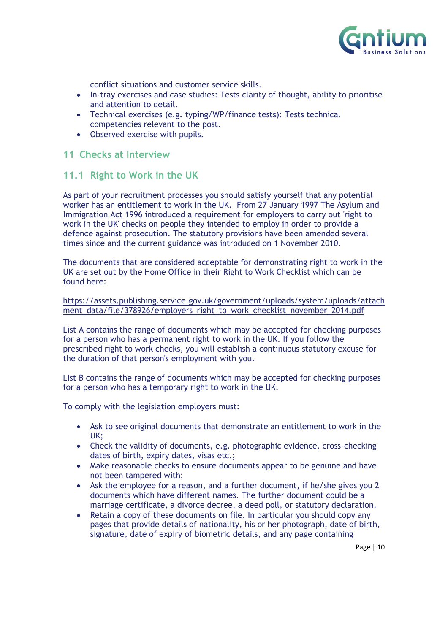

conflict situations and customer service skills.

- In-tray exercises and case studies: Tests clarity of thought, ability to prioritise and attention to detail.
- Technical exercises (e.g. typing/WP/finance tests): Tests technical competencies relevant to the post.
- Observed exercise with pupils.

#### <span id="page-9-0"></span>**11 Checks at Interview**

#### <span id="page-9-1"></span>**11.1 Right to Work in the UK**

As part of your recruitment processes you should satisfy yourself that any potential worker has an entitlement to work in the UK. From 27 January 1997 The Asylum and Immigration Act 1996 introduced a requirement for employers to carry out 'right to work in the UK' checks on people they intended to employ in order to provide a defence against prosecution. The statutory provisions have been amended several times since and the current guidance was introduced on 1 November 2010.

The documents that are considered acceptable for demonstrating right to work in the UK are set out by the Home Office in their Right to Work Checklist which can be found here:

[https://assets.publishing.service.gov.uk/government/uploads/system/uploads/attach](https://assets.publishing.service.gov.uk/government/uploads/system/uploads/attachment_data/file/378926/employers_right_to_work_checklist_november_2014.pdf) ment\_data/file/378926/employers\_right\_to\_work\_checklist\_november\_2014.pdf

List A contains the range of documents which may be accepted for checking purposes for a person who has a permanent right to work in the UK. If you follow the prescribed right to work checks, you will establish a continuous statutory excuse for the duration of that person's employment with you.

List B contains the range of documents which may be accepted for checking purposes for a person who has a temporary right to work in the UK.

To comply with the legislation employers must:

- Ask to see original documents that demonstrate an entitlement to work in the UK;
- Check the validity of documents, e.g. photographic evidence, cross-checking dates of birth, expiry dates, visas etc.;
- Make reasonable checks to ensure documents appear to be genuine and have not been tampered with;
- Ask the employee for a reason, and a further document, if he/she gives you 2 documents which have different names. The further document could be a marriage certificate, a divorce decree, a deed poll, or statutory declaration.
- Retain a copy of these documents on file. In particular you should copy any pages that provide details of nationality, his or her photograph, date of birth, signature, date of expiry of biometric details, and any page containing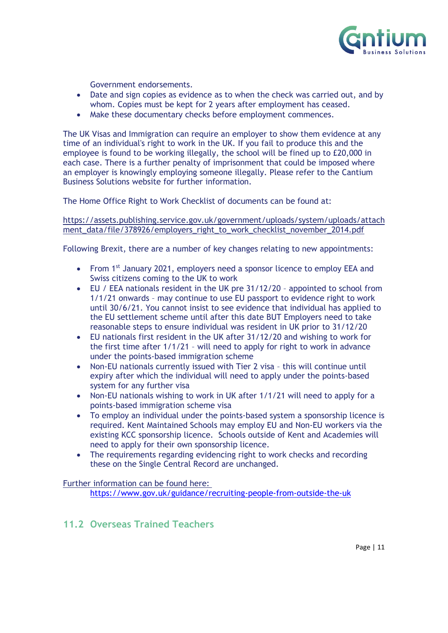

Government endorsements.

- Date and sign copies as evidence as to when the check was carried out, and by whom. Copies must be kept for 2 years after employment has ceased.
- Make these documentary checks before employment commences.

The UK Visas and Immigration can require an employer to show them evidence at any time of an individual's right to work in the UK. If you fail to produce this and the employee is found to be working illegally, the school will be fined up to £20,000 in each case. There is a further penalty of imprisonment that could be imposed where an employer is knowingly employing someone illegally. Please refer to the Cantium Business Solutions website for further information.

The Home Office Right to Work Checklist of documents can be found at:

#### [https://assets.publishing.service.gov.uk/government/uploads/system/uploads/attach](https://assets.publishing.service.gov.uk/government/uploads/system/uploads/attachment_data/file/378926/employers_right_to_work_checklist_november_2014.pdf) [ment\\_data/file/378926/employers\\_right\\_to\\_work\\_checklist\\_november\\_2014.pdf](https://assets.publishing.service.gov.uk/government/uploads/system/uploads/attachment_data/file/378926/employers_right_to_work_checklist_november_2014.pdf)

Following Brexit, there are a number of key changes relating to new appointments:

- From 1st January 2021, employers need a sponsor licence to employ EEA and Swiss citizens coming to the UK to work
- EU / EEA nationals resident in the UK pre 31/12/20 appointed to school from 1/1/21 onwards – may continue to use EU passport to evidence right to work until 30/6/21. You cannot insist to see evidence that individual has applied to the EU settlement scheme until after this date BUT Employers need to take reasonable steps to ensure individual was resident in UK prior to 31/12/20
- EU nationals first resident in the UK after 31/12/20 and wishing to work for the first time after 1/1/21 – will need to apply for right to work in advance under the points-based immigration scheme
- Non-EU nationals currently issued with Tier 2 visa this will continue until expiry after which the individual will need to apply under the points-based system for any further visa
- Non-EU nationals wishing to work in UK after 1/1/21 will need to apply for a points-based immigration scheme visa
- To employ an individual under the points-based system a sponsorship licence is required. Kent Maintained Schools may employ EU and Non-EU workers via the existing KCC sponsorship licence. Schools outside of Kent and Academies will need to apply for their own sponsorship licence.
- The requirements regarding evidencing right to work checks and recording these on the Single Central Record are unchanged.

Further information can be found here:

<https://www.gov.uk/guidance/recruiting-people-from-outside-the-uk>

#### <span id="page-10-0"></span>**11.2 Overseas Trained Teachers**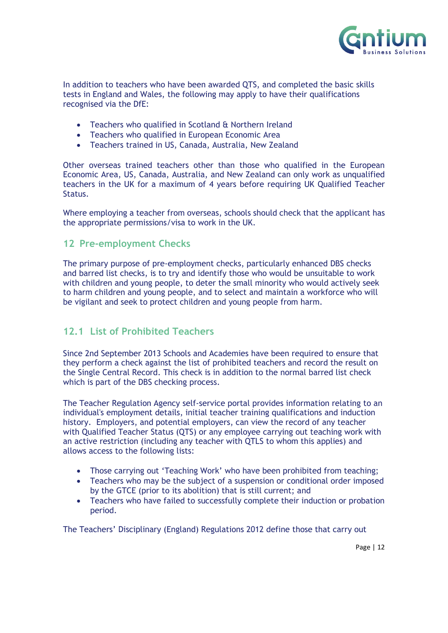

In addition to teachers who have been awarded QTS, and completed the basic skills tests in England and Wales, the following may apply to have their qualifications recognised via the DfE:

- Teachers who qualified in Scotland & Northern Ireland
- Teachers who qualified in European Economic Area
- Teachers trained in US, Canada, Australia, New Zealand

Other overseas trained teachers other than those who qualified in the European Economic Area, US, Canada, Australia, and New Zealand can only work as unqualified teachers in the UK for a maximum of 4 years before requiring UK Qualified Teacher Status.

Where employing a teacher from overseas, schools should check that the applicant has the appropriate permissions/visa to work in the UK.

#### <span id="page-11-0"></span>**12 Pre-employment Checks**

The primary purpose of pre-employment checks, particularly enhanced DBS checks and barred list checks, is to try and identify those who would be unsuitable to work with children and young people, to deter the small minority who would actively seek to harm children and young people, and to select and maintain a workforce who will be vigilant and seek to protect children and young people from harm.

#### <span id="page-11-1"></span>**12.1 List of Prohibited Teachers**

Since 2nd September 2013 Schools and Academies have been required to ensure that they perform a check against the list of prohibited teachers and record the result on the Single Central Record. This check is in addition to the normal barred list check which is part of the DBS checking process.

The Teacher Regulation Agency self-service portal provides information relating to an individual's employment details, initial teacher training qualifications and induction history. Employers, and potential employers, can view the record of any teacher with Qualified Teacher Status (QTS) or any employee carrying out teaching work with an active restriction (including any teacher with QTLS to whom this applies) and allows access to the following lists:

- Those carrying out 'Teaching Work' who have been prohibited from teaching;
- Teachers who may be the subject of a suspension or conditional order imposed by the GTCE (prior to its abolition) that is still current; and
- Teachers who have failed to successfully complete their induction or probation period.

The Teachers' Disciplinary (England) Regulations 2012 define those that carry out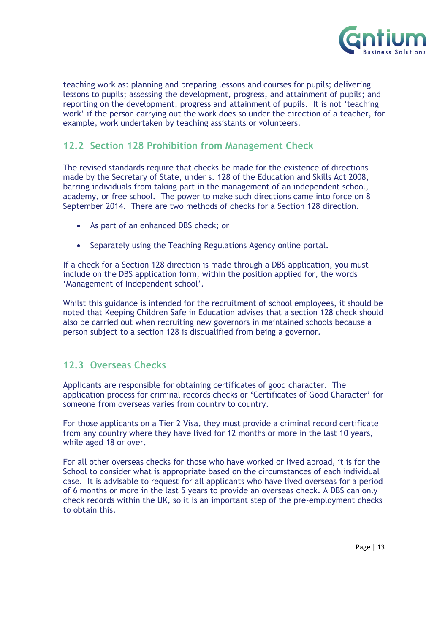

teaching work as: planning and preparing lessons and courses for pupils; delivering lessons to pupils; assessing the development, progress, and attainment of pupils; and reporting on the development, progress and attainment of pupils. It is not 'teaching work' if the person carrying out the work does so under the direction of a teacher, for example, work undertaken by teaching assistants or volunteers.

#### <span id="page-12-0"></span>**12.2 Section 128 Prohibition from Management Check**

The revised standards require that checks be made for the existence of directions made by the Secretary of State, under s. 128 of the Education and Skills Act 2008, barring individuals from taking part in the management of an independent school, academy, or free school. The power to make such directions came into force on 8 September 2014. There are two methods of checks for a Section 128 direction.

- As part of an enhanced DBS check; or
- Separately using the Teaching Regulations Agency online portal.

If a check for a Section 128 direction is made through a DBS application, you must include on the DBS application form, within the position applied for, the words 'Management of Independent school'.

Whilst this guidance is intended for the recruitment of school employees, it should be noted that Keeping Children Safe in Education advises that a section 128 check should also be carried out when recruiting new governors in maintained schools because a person subject to a section 128 is disqualified from being a governor.

#### <span id="page-12-1"></span>**12.3 Overseas Checks**

Applicants are responsible for obtaining certificates of good character. The application process for criminal records checks or 'Certificates of Good Character' for someone from overseas varies from country to country.

For those applicants on a Tier 2 Visa, they must provide a criminal record certificate from any country where they have lived for 12 months or more in the last 10 years, while aged 18 or over.

For all other overseas checks for those who have worked or lived abroad, it is for the School to consider what is appropriate based on the circumstances of each individual case. It is advisable to request for all applicants who have lived overseas for a period of 6 months or more in the last 5 years to provide an overseas check. A DBS can only check records within the UK, so it is an important step of the pre-employment checks to obtain this.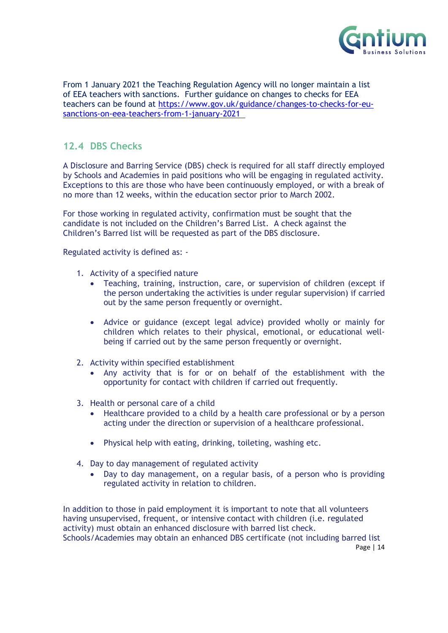

From 1 January 2021 the Teaching Regulation Agency will no longer maintain a list of EEA teachers with sanctions. Further guidance on changes to checks for EEA teachers can be found at [https://www.gov.uk/guidance/changes-to-checks-for-eu](https://www.gov.uk/guidance/changes-to-checks-for-eu-sanctions-on-eea-teachers-from-1-january-2021)[sanctions-on-eea-teachers-from-1-january-2021](https://www.gov.uk/guidance/changes-to-checks-for-eu-sanctions-on-eea-teachers-from-1-january-2021) 

#### <span id="page-13-0"></span>**12.4 DBS Checks**

A Disclosure and Barring Service (DBS) check is required for all staff directly employed by Schools and Academies in paid positions who will be engaging in regulated activity. Exceptions to this are those who have been continuously employed, or with a break of no more than 12 weeks, within the education sector prior to March 2002.

For those working in regulated activity, confirmation must be sought that the candidate is not included on the Children's Barred List. A check against the Children's Barred list will be requested as part of the DBS disclosure.

Regulated activity is defined as: -

- 1. Activity of a specified nature
	- Teaching, training, instruction, care, or supervision of children (except if the person undertaking the activities is under regular supervision) if carried out by the same person frequently or overnight.
	- Advice or guidance (except legal advice) provided wholly or mainly for children which relates to their physical, emotional, or educational wellbeing if carried out by the same person frequently or overnight.
- 2. Activity within specified establishment
	- Any activity that is for or on behalf of the establishment with the opportunity for contact with children if carried out frequently.
- 3. Health or personal care of a child
	- Healthcare provided to a child by a health care professional or by a person acting under the direction or supervision of a healthcare professional.
	- Physical help with eating, drinking, toileting, washing etc.
- 4. Day to day management of regulated activity
	- Day to day management, on a regular basis, of a person who is providing regulated activity in relation to children.

Page | 14 In addition to those in paid employment it is important to note that all volunteers having unsupervised, frequent, or intensive contact with children (i.e. regulated activity) must obtain an enhanced disclosure with barred list check. Schools/Academies may obtain an enhanced DBS certificate (not including barred list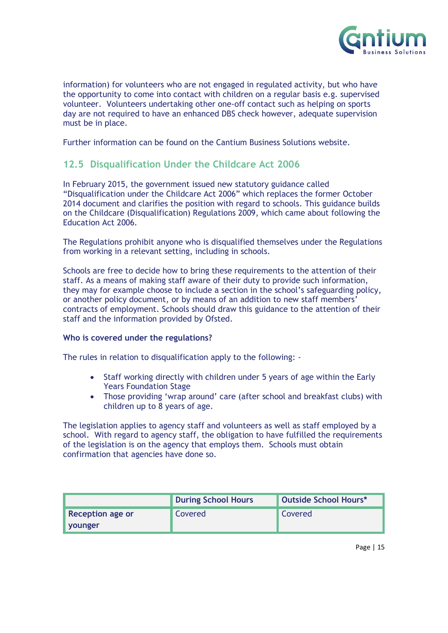

information) for volunteers who are not engaged in regulated activity, but who have the opportunity to come into contact with children on a regular basis e.g. supervised volunteer. Volunteers undertaking other one-off contact such as helping on sports day are not required to have an enhanced DBS check however, adequate supervision must be in place.

Further information can be found on the Cantium Business Solutions website.

#### <span id="page-14-0"></span>**12.5 Disqualification Under the Childcare Act 2006**

In February 2015, the government issued new statutory guidance called "Disqualification under the Childcare Act 2006" which replaces the former October 2014 document and clarifies the position with regard to schools. This guidance builds on the Childcare (Disqualification) Regulations 2009, which came about following the Education Act 2006.

The Regulations prohibit anyone who is disqualified themselves under the Regulations from working in a relevant setting, including in schools.

Schools are free to decide how to bring these requirements to the attention of their staff. As a means of making staff aware of their duty to provide such information, they may for example choose to include a section in the school's safeguarding policy, or another policy document, or by means of an addition to new staff members' contracts of employment. Schools should draw this guidance to the attention of their staff and the information provided by Ofsted.

#### **Who is covered under the regulations?**

The rules in relation to disqualification apply to the following: -

- Staff working directly with children under 5 years of age within the Early Years Foundation Stage
- Those providing 'wrap around' care (after school and breakfast clubs) with children up to 8 years of age.

The legislation applies to agency staff and volunteers as well as staff employed by a school. With regard to agency staff, the obligation to have fulfilled the requirements of the legislation is on the agency that employs them. Schools must obtain confirmation that agencies have done so.

|                         | <b>During School Hours</b> | Outside School Hours* |
|-------------------------|----------------------------|-----------------------|
| <b>Reception age or</b> | Covered                    | <b>Covered</b>        |
| vounger                 |                            |                       |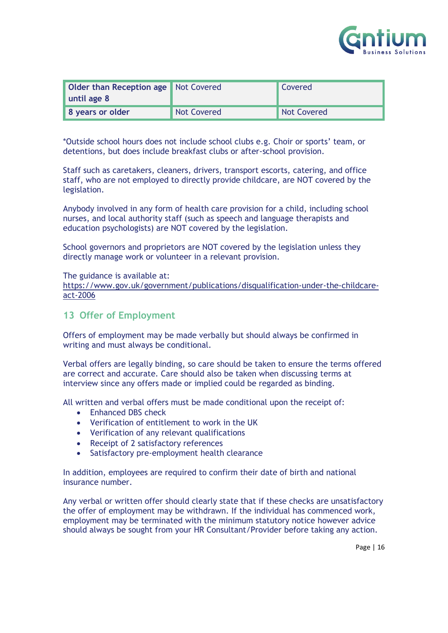

| <b>Older than Reception age</b> Not Covered |             | <b>Covered</b> |
|---------------------------------------------|-------------|----------------|
| until age 8                                 |             |                |
| 8 years or older                            | Not Covered | Not Covered    |

\*Outside school hours does not include school clubs e.g. Choir or sports' team, or detentions, but does include breakfast clubs or after-school provision.

Staff such as caretakers, cleaners, drivers, transport escorts, catering, and office staff, who are not employed to directly provide childcare, are NOT covered by the legislation.

Anybody involved in any form of health care provision for a child, including school nurses, and local authority staff (such as speech and language therapists and education psychologists) are NOT covered by the legislation.

School governors and proprietors are NOT covered by the legislation unless they directly manage work or volunteer in a relevant provision.

The guidance is available at:

[https://www.gov.uk/government/publications/disqualification-under-the-childcare](https://www.gov.uk/government/publications/disqualification-under-the-childcare-act-2006)[act-2006](https://www.gov.uk/government/publications/disqualification-under-the-childcare-act-2006)

#### <span id="page-15-0"></span>**13 Offer of Employment**

Offers of employment may be made verbally but should always be confirmed in writing and must always be conditional.

Verbal offers are legally binding, so care should be taken to ensure the terms offered are correct and accurate. Care should also be taken when discussing terms at interview since any offers made or implied could be regarded as binding.

All written and verbal offers must be made conditional upon the receipt of:

- Enhanced DBS check
- Verification of entitlement to work in the UK
- Verification of any relevant qualifications
- Receipt of 2 satisfactory references
- Satisfactory pre-employment health clearance

In addition, employees are required to confirm their date of birth and national insurance number.

Any verbal or written offer should clearly state that if these checks are unsatisfactory the offer of employment may be withdrawn. If the individual has commenced work, employment may be terminated with the minimum statutory notice however advice should always be sought from your HR Consultant/Provider before taking any action.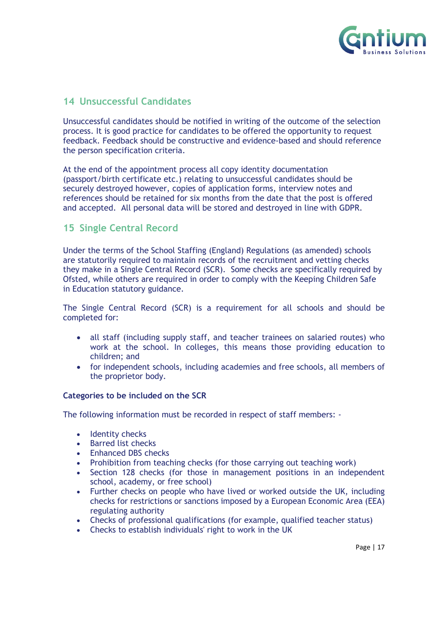

#### <span id="page-16-0"></span>**14 Unsuccessful Candidates**

Unsuccessful candidates should be notified in writing of the outcome of the selection process. It is good practice for candidates to be offered the opportunity to request feedback. Feedback should be constructive and evidence-based and should reference the person specification criteria.

At the end of the appointment process all copy identity documentation (passport/birth certificate etc.) relating to unsuccessful candidates should be securely destroyed however, copies of application forms, interview notes and references should be retained for six months from the date that the post is offered and accepted. All personal data will be stored and destroyed in line with GDPR.

#### <span id="page-16-1"></span>**15 Single Central Record**

Under the terms of the School Staffing (England) Regulations (as amended) schools are statutorily required to maintain records of the recruitment and vetting checks they make in a Single Central Record (SCR). Some checks are specifically required by Ofsted, while others are required in order to comply with the Keeping Children Safe in Education statutory guidance.

The Single Central Record (SCR) is a requirement for all schools and should be completed for:

- all staff (including supply staff, and teacher trainees on salaried routes) who work at the school. In colleges, this means those providing education to children; and
- for independent schools, including academies and free schools, all members of the proprietor body.

#### **Categories to be included on the SCR**

The following information must be recorded in respect of staff members: -

- Identity checks
- Barred list checks
- Enhanced DBS checks
- Prohibition from teaching checks (for those carrying out teaching work)
- Section 128 checks (for those in management positions in an independent school, academy, or free school)
- Further checks on people who have lived or worked outside the UK, including checks for restrictions or sanctions imposed by a European Economic Area (EEA) regulating authority
- Checks of professional qualifications (for example, qualified teacher status)
- Checks to establish individuals' right to work in the UK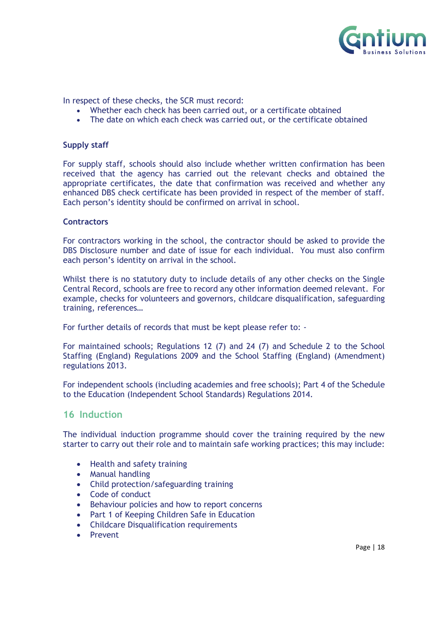

In respect of these checks, the SCR must record:

- Whether each check has been carried out, or a certificate obtained
- The date on which each check was carried out, or the certificate obtained

#### **Supply staff**

For supply staff, schools should also include whether written confirmation has been received that the agency has carried out the relevant checks and obtained the appropriate certificates, the date that confirmation was received and whether any enhanced DBS check certificate has been provided in respect of the member of staff. Each person's identity should be confirmed on arrival in school.

#### **Contractors**

For contractors working in the school, the contractor should be asked to provide the DBS Disclosure number and date of issue for each individual. You must also confirm each person's identity on arrival in the school.

Whilst there is no statutory duty to include details of any other checks on the Single Central Record, schools are free to record any other information deemed relevant. For example, checks for volunteers and governors, childcare disqualification, safeguarding training, references…

For further details of records that must be kept please refer to: -

For maintained schools; Regulations 12 (7) and 24 (7) and Schedule 2 to the School Staffing (England) Regulations 2009 and the School Staffing (England) (Amendment) regulations 2013.

For independent schools (including academies and free schools); Part 4 of the Schedule to the Education (Independent School Standards) Regulations 2014.

#### <span id="page-17-0"></span>**16 Induction**

The individual induction programme should cover the training required by the new starter to carry out their role and to maintain safe working practices; this may include:

- Health and safety training
- Manual handling
- Child protection/safeguarding training
- Code of conduct
- Behaviour policies and how to report concerns
- Part 1 of Keeping Children Safe in Education
- Childcare Disqualification requirements
- Prevent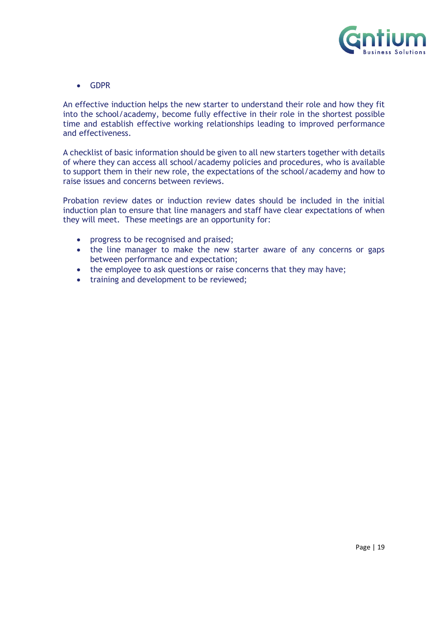

• GDPR

An effective induction helps the new starter to understand their role and how they fit into the school/academy, become fully effective in their role in the shortest possible time and establish effective working relationships leading to improved performance and effectiveness.

A checklist of basic information should be given to all new starters together with details of where they can access all school/academy policies and procedures, who is available to support them in their new role, the expectations of the school/academy and how to raise issues and concerns between reviews.

Probation review dates or induction review dates should be included in the initial induction plan to ensure that line managers and staff have clear expectations of when they will meet. These meetings are an opportunity for:

- progress to be recognised and praised;
- the line manager to make the new starter aware of any concerns or gaps between performance and expectation;
- the employee to ask questions or raise concerns that they may have;
- training and development to be reviewed;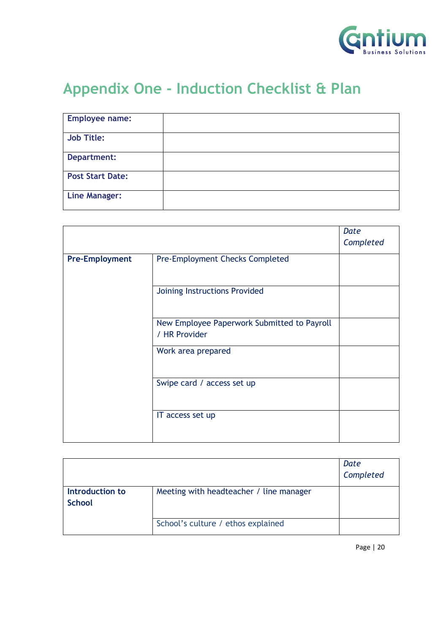

# <span id="page-19-0"></span>**Appendix One - Induction Checklist & Plan**

| <b>Employee name:</b>   |  |
|-------------------------|--|
| <b>Job Title:</b>       |  |
| Department:             |  |
| <b>Post Start Date:</b> |  |
| <b>Line Manager:</b>    |  |

|                       |                                                              | Date      |
|-----------------------|--------------------------------------------------------------|-----------|
|                       |                                                              | Completed |
| <b>Pre-Employment</b> | <b>Pre-Employment Checks Completed</b>                       |           |
|                       | Joining Instructions Provided                                |           |
|                       |                                                              |           |
|                       | New Employee Paperwork Submitted to Payroll<br>/ HR Provider |           |
|                       | Work area prepared                                           |           |
|                       | Swipe card / access set up                                   |           |
|                       | IT access set up                                             |           |
|                       |                                                              |           |

|                                  |                                         | Date<br>Completed |
|----------------------------------|-----------------------------------------|-------------------|
| Introduction to<br><b>School</b> | Meeting with headteacher / line manager |                   |
|                                  | School's culture / ethos explained      |                   |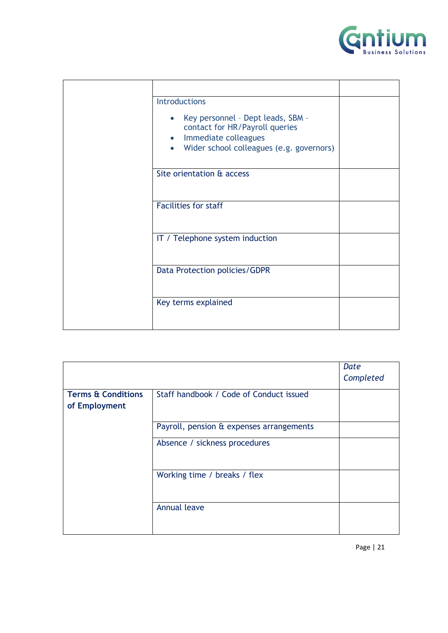

| <b>Introductions</b><br>Key personnel - Dept leads, SBM -<br>$\bullet$<br>contact for HR/Payroll queries<br>Immediate colleagues<br>$\bullet$<br>Wider school colleagues (e.g. governors)<br>$\bullet$ |  |
|--------------------------------------------------------------------------------------------------------------------------------------------------------------------------------------------------------|--|
| Site orientation & access                                                                                                                                                                              |  |
| <b>Facilities for staff</b>                                                                                                                                                                            |  |
| IT / Telephone system induction                                                                                                                                                                        |  |
| Data Protection policies/GDPR                                                                                                                                                                          |  |
| Key terms explained                                                                                                                                                                                    |  |

|                                                |                                          | Date<br>Completed |
|------------------------------------------------|------------------------------------------|-------------------|
| <b>Terms &amp; Conditions</b><br>of Employment | Staff handbook / Code of Conduct issued  |                   |
|                                                | Payroll, pension & expenses arrangements |                   |
|                                                | Absence / sickness procedures            |                   |
|                                                | Working time / breaks / flex             |                   |
|                                                | <b>Annual leave</b>                      |                   |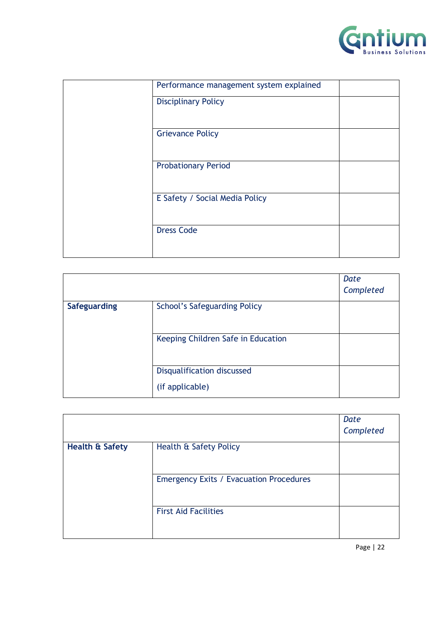

| Performance management system explained |  |
|-----------------------------------------|--|
| <b>Disciplinary Policy</b>              |  |
| <b>Grievance Policy</b>                 |  |
| <b>Probationary Period</b>              |  |
| E Safety / Social Media Policy          |  |
| <b>Dress Code</b>                       |  |
|                                         |  |

|                     |                                     | Date      |
|---------------------|-------------------------------------|-----------|
|                     |                                     | Completed |
| <b>Safeguarding</b> | <b>School's Safeguarding Policy</b> |           |
|                     | Keeping Children Safe in Education  |           |
|                     | <b>Disqualification discussed</b>   |           |
|                     | (if applicable)                     |           |

|                            |                                                | Date      |
|----------------------------|------------------------------------------------|-----------|
|                            |                                                | Completed |
| <b>Health &amp; Safety</b> | Health & Safety Policy                         |           |
|                            | <b>Emergency Exits / Evacuation Procedures</b> |           |
|                            | <b>First Aid Facilities</b>                    |           |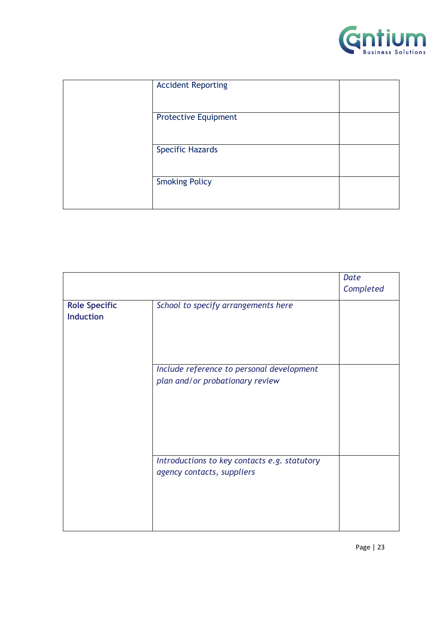

| <b>Accident Reporting</b>   |  |
|-----------------------------|--|
| <b>Protective Equipment</b> |  |
| <b>Specific Hazards</b>     |  |
| <b>Smoking Policy</b>       |  |

|                                          |                                                                              | Date      |
|------------------------------------------|------------------------------------------------------------------------------|-----------|
|                                          |                                                                              | Completed |
| <b>Role Specific</b><br><b>Induction</b> | School to specify arrangements here                                          |           |
|                                          | Include reference to personal development<br>plan and/or probationary review |           |
|                                          | Introductions to key contacts e.g. statutory<br>agency contacts, suppliers   |           |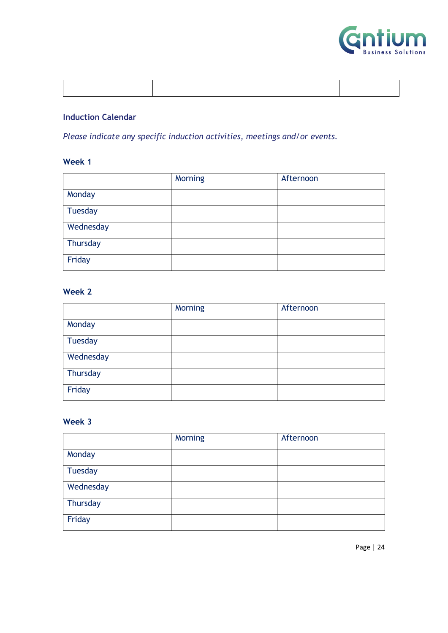

#### **Induction Calendar**

*Please indicate any specific induction activities, meetings and/or events.* 

#### **Week 1**

|                | Morning | Afternoon |
|----------------|---------|-----------|
| Monday         |         |           |
| <b>Tuesday</b> |         |           |
| Wednesday      |         |           |
| Thursday       |         |           |
| Friday         |         |           |

#### **Week 2**

|           | <b>Morning</b> | Afternoon |
|-----------|----------------|-----------|
| Monday    |                |           |
| Tuesday   |                |           |
| Wednesday |                |           |
| Thursday  |                |           |
| Friday    |                |           |

#### **Week 3**

|           | <b>Morning</b> | Afternoon |
|-----------|----------------|-----------|
| Monday    |                |           |
| Tuesday   |                |           |
| Wednesday |                |           |
| Thursday  |                |           |
| Friday    |                |           |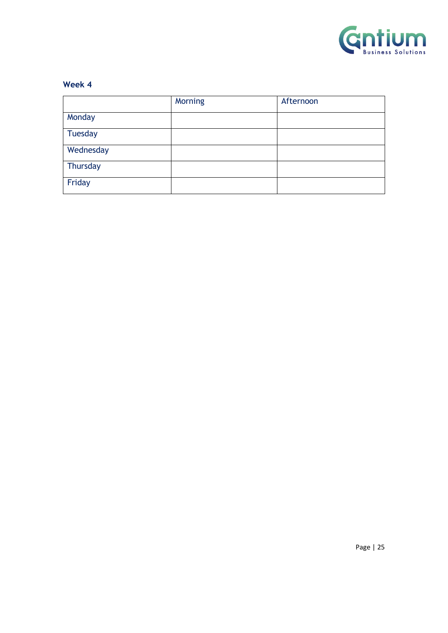

#### **Week 4**

|                | <b>Morning</b> | Afternoon |
|----------------|----------------|-----------|
| Monday         |                |           |
| <b>Tuesday</b> |                |           |
| Wednesday      |                |           |
| Thursday       |                |           |
| Friday         |                |           |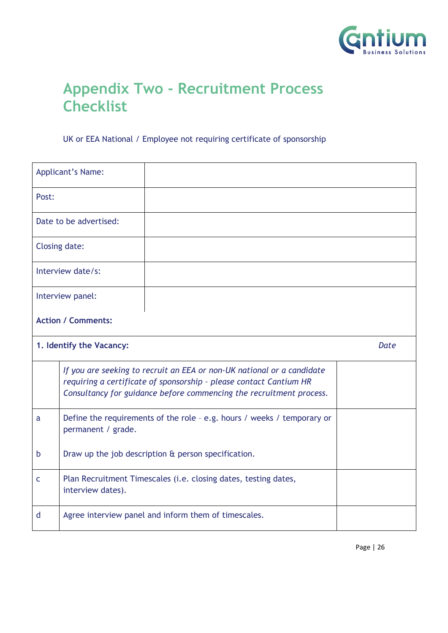

# <span id="page-25-0"></span>**Appendix Two - Recruitment Process Checklist**

#### UK or EEA National / Employee not requiring certificate of sponsorship

|       | <b>Applicant's Name:</b>                            |                                                                                                                                                                                                                     |  |
|-------|-----------------------------------------------------|---------------------------------------------------------------------------------------------------------------------------------------------------------------------------------------------------------------------|--|
| Post: |                                                     |                                                                                                                                                                                                                     |  |
|       | Date to be advertised:                              |                                                                                                                                                                                                                     |  |
|       | Closing date:                                       |                                                                                                                                                                                                                     |  |
|       | Interview date/s:                                   |                                                                                                                                                                                                                     |  |
|       | Interview panel:                                    |                                                                                                                                                                                                                     |  |
|       | <b>Action / Comments:</b>                           |                                                                                                                                                                                                                     |  |
|       | 1. Identify the Vacancy:<br><b>Date</b>             |                                                                                                                                                                                                                     |  |
|       |                                                     | If you are seeking to recruit an EEA or non-UK national or a candidate<br>requiring a certificate of sponsorship - please contact Cantium HR<br>Consultancy for guidance before commencing the recruitment process. |  |
| a     | permanent / grade.                                  | Define the requirements of the role - e.g. hours / weeks / temporary or                                                                                                                                             |  |
| b     | Draw up the job description & person specification. |                                                                                                                                                                                                                     |  |
| C     | interview dates).                                   | Plan Recruitment Timescales (i.e. closing dates, testing dates,                                                                                                                                                     |  |
| d     |                                                     | Agree interview panel and inform them of timescales.                                                                                                                                                                |  |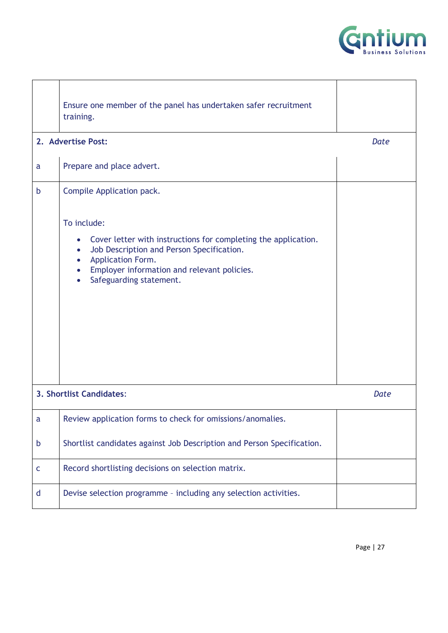

|             | Ensure one member of the panel has undertaken safer recruitment<br>training.<br>2. Advertise Post:                                                                                                                                                                                                                      | Date |
|-------------|-------------------------------------------------------------------------------------------------------------------------------------------------------------------------------------------------------------------------------------------------------------------------------------------------------------------------|------|
| a           | Prepare and place advert.                                                                                                                                                                                                                                                                                               |      |
| b           | Compile Application pack.<br>To include:<br>Cover letter with instructions for completing the application.<br>$\bullet$<br>Job Description and Person Specification.<br>$\bullet$<br>Application Form.<br>$\bullet$<br>Employer information and relevant policies.<br>$\bullet$<br>Safeguarding statement.<br>$\bullet$ |      |
|             | 3. Shortlist Candidates:                                                                                                                                                                                                                                                                                                | Date |
| a           | Review application forms to check for omissions/anomalies.                                                                                                                                                                                                                                                              |      |
| b           | Shortlist candidates against Job Description and Person Specification.                                                                                                                                                                                                                                                  |      |
| $\mathsf C$ | Record shortlisting decisions on selection matrix.                                                                                                                                                                                                                                                                      |      |
| d           | Devise selection programme - including any selection activities.                                                                                                                                                                                                                                                        |      |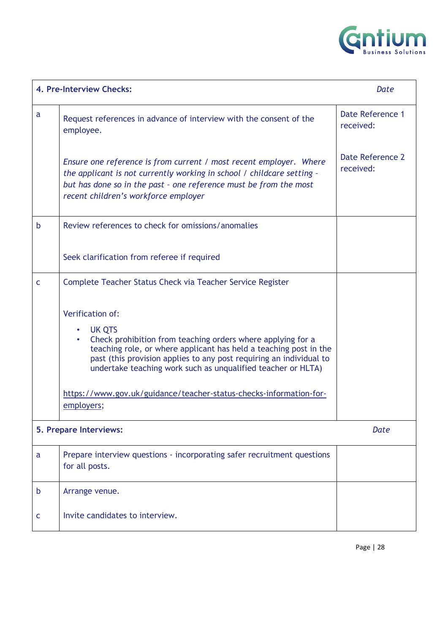

|   | 4. Pre-Interview Checks:                                                                                                                                                                                                                                                                                                                                                                                             | Date                          |
|---|----------------------------------------------------------------------------------------------------------------------------------------------------------------------------------------------------------------------------------------------------------------------------------------------------------------------------------------------------------------------------------------------------------------------|-------------------------------|
| a | Request references in advance of interview with the consent of the<br>employee.                                                                                                                                                                                                                                                                                                                                      | Date Reference 1<br>received: |
|   | Ensure one reference is from current / most recent employer. Where<br>the applicant is not currently working in school / childcare setting -<br>but has done so in the past - one reference must be from the most<br>recent children's workforce employer                                                                                                                                                            | Date Reference 2<br>received: |
| b | Review references to check for omissions/anomalies                                                                                                                                                                                                                                                                                                                                                                   |                               |
|   | Seek clarification from referee if required                                                                                                                                                                                                                                                                                                                                                                          |                               |
| C | Complete Teacher Status Check via Teacher Service Register                                                                                                                                                                                                                                                                                                                                                           |                               |
|   | <b>Verification of:</b><br><b>UK QTS</b><br>$\bullet$<br>Check prohibition from teaching orders where applying for a<br>teaching role, or where applicant has held a teaching post in the<br>past (this provision applies to any post requiring an individual to<br>undertake teaching work such as unqualified teacher or HLTA)<br>https://www.gov.uk/guidance/teacher-status-checks-information-for-<br>employers; |                               |
|   | 5. Prepare Interviews:                                                                                                                                                                                                                                                                                                                                                                                               | Date                          |
| a | Prepare interview questions - incorporating safer recruitment questions<br>for all posts.                                                                                                                                                                                                                                                                                                                            |                               |
| b | Arrange venue.                                                                                                                                                                                                                                                                                                                                                                                                       |                               |
| c | Invite candidates to interview.                                                                                                                                                                                                                                                                                                                                                                                      |                               |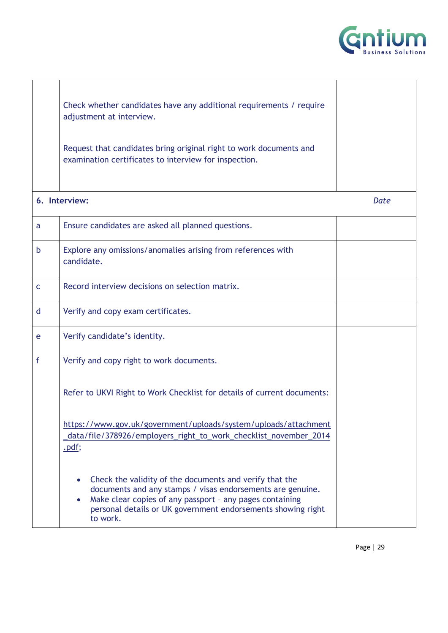

|   | Check whether candidates have any additional requirements / require<br>adjustment at interview.                                                                                                                                                               |      |
|---|---------------------------------------------------------------------------------------------------------------------------------------------------------------------------------------------------------------------------------------------------------------|------|
|   | Request that candidates bring original right to work documents and<br>examination certificates to interview for inspection.                                                                                                                                   |      |
|   | 6. Interview:                                                                                                                                                                                                                                                 | Date |
| a | Ensure candidates are asked all planned questions.                                                                                                                                                                                                            |      |
| b | Explore any omissions/anomalies arising from references with<br>candidate.                                                                                                                                                                                    |      |
| C | Record interview decisions on selection matrix.                                                                                                                                                                                                               |      |
| d | Verify and copy exam certificates.                                                                                                                                                                                                                            |      |
| e | Verify candidate's identity.                                                                                                                                                                                                                                  |      |
| f | Verify and copy right to work documents.                                                                                                                                                                                                                      |      |
|   | Refer to UKVI Right to Work Checklist for details of current documents:                                                                                                                                                                                       |      |
|   | https://www.gov.uk/government/uploads/system/uploads/attachment<br>_data/file/378926/employers_right_to_work_checklist_november_2014<br>.pdf;                                                                                                                 |      |
|   | Check the validity of the documents and verify that the<br>documents and any stamps / visas endorsements are genuine.<br>Make clear copies of any passport - any pages containing<br>personal details or UK government endorsements showing right<br>to work. |      |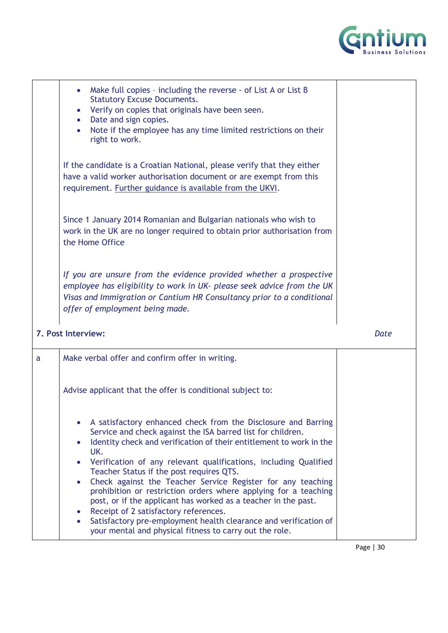

| Make full copies - including the reverse - of List A or List B<br>$\bullet$<br><b>Statutory Excuse Documents.</b><br>Verify on copies that originals have been seen.<br>$\bullet$<br>Date and sign copies.<br>$\bullet$<br>Note if the employee has any time limited restrictions on their<br>$\bullet$<br>right to work. |  |
|---------------------------------------------------------------------------------------------------------------------------------------------------------------------------------------------------------------------------------------------------------------------------------------------------------------------------|--|
| If the candidate is a Croatian National, please verify that they either<br>have a valid worker authorisation document or are exempt from this<br>requirement. Further guidance is available from the UKVI.                                                                                                                |  |
| Since 1 January 2014 Romanian and Bulgarian nationals who wish to<br>work in the UK are no longer required to obtain prior authorisation from<br>the Home Office                                                                                                                                                          |  |
| If you are unsure from the evidence provided whether a prospective<br>employee has eligibility to work in UK- please seek advice from the UK<br>Visas and Immigration or Cantium HR Consultancy prior to a conditional<br>offer of employment being made.                                                                 |  |

**7. Post Interview:** *Date*

 $\overline{a}$ 

| a | Make verbal offer and confirm offer in writing.                                                                                                                                                                                                                                                                                                                                                                                                                                                                                                                                                                                                                                                            |
|---|------------------------------------------------------------------------------------------------------------------------------------------------------------------------------------------------------------------------------------------------------------------------------------------------------------------------------------------------------------------------------------------------------------------------------------------------------------------------------------------------------------------------------------------------------------------------------------------------------------------------------------------------------------------------------------------------------------|
|   | Advise applicant that the offer is conditional subject to:                                                                                                                                                                                                                                                                                                                                                                                                                                                                                                                                                                                                                                                 |
|   | A satisfactory enhanced check from the Disclosure and Barring<br>Service and check against the ISA barred list for children.<br>Identity check and verification of their entitlement to work in the<br>UK.<br>Verification of any relevant qualifications, including Qualified<br>Teacher Status if the post requires QTS.<br>• Check against the Teacher Service Register for any teaching<br>prohibition or restriction orders where applying for a teaching<br>post, or if the applicant has worked as a teacher in the past.<br>• Receipt of 2 satisfactory references.<br>Satisfactory pre-employment health clearance and verification of<br>your mental and physical fitness to carry out the role. |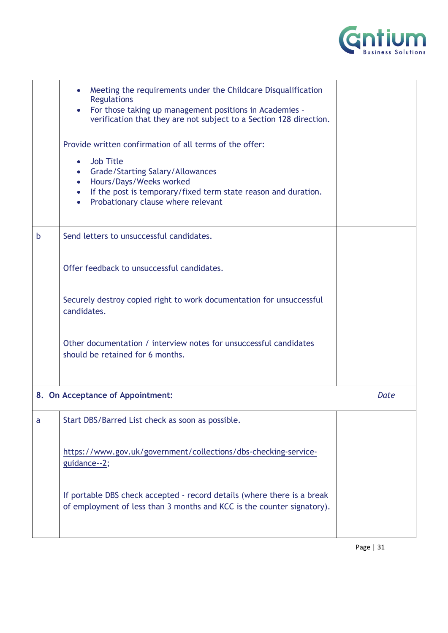

| Meeting the requirements under the Childcare Disqualification<br><b>Regulations</b><br>For those taking up management positions in Academies -<br>$\bullet$<br>verification that they are not subject to a Section 128 direction.<br>Provide written confirmation of all terms of the offer:<br><b>Job Title</b><br>$\bullet$<br>• Grade/Starting Salary/Allowances<br>Hours/Days/Weeks worked<br>$\bullet$<br>• If the post is temporary/fixed term state reason and duration.<br>Probationary clause where relevant<br>$\bullet$ |      |
|------------------------------------------------------------------------------------------------------------------------------------------------------------------------------------------------------------------------------------------------------------------------------------------------------------------------------------------------------------------------------------------------------------------------------------------------------------------------------------------------------------------------------------|------|
| Send letters to unsuccessful candidates.                                                                                                                                                                                                                                                                                                                                                                                                                                                                                           |      |
| Offer feedback to unsuccessful candidates.                                                                                                                                                                                                                                                                                                                                                                                                                                                                                         |      |
| Securely destroy copied right to work documentation for unsuccessful<br>candidates.                                                                                                                                                                                                                                                                                                                                                                                                                                                |      |
| Other documentation / interview notes for unsuccessful candidates<br>should be retained for 6 months.                                                                                                                                                                                                                                                                                                                                                                                                                              |      |
| 8. On Acceptance of Appointment:                                                                                                                                                                                                                                                                                                                                                                                                                                                                                                   | Date |
| Start DBS/Barred List check as soon as possible.                                                                                                                                                                                                                                                                                                                                                                                                                                                                                   |      |
| https://www.gov.uk/government/collections/dbs-checking-service-<br>guidance--2;                                                                                                                                                                                                                                                                                                                                                                                                                                                    |      |
| If portable DBS check accepted - record details (where there is a break<br>of employment of less than 3 months and KCC is the counter signatory).                                                                                                                                                                                                                                                                                                                                                                                  |      |
|                                                                                                                                                                                                                                                                                                                                                                                                                                                                                                                                    |      |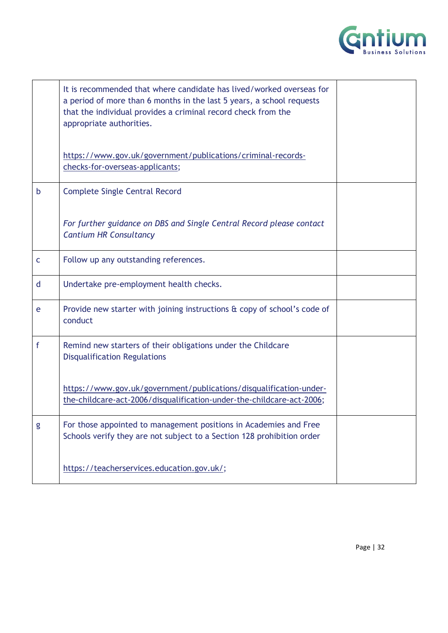

|              | It is recommended that where candidate has lived/worked overseas for<br>a period of more than 6 months in the last 5 years, a school requests<br>that the individual provides a criminal record check from the<br>appropriate authorities. |  |
|--------------|--------------------------------------------------------------------------------------------------------------------------------------------------------------------------------------------------------------------------------------------|--|
|              | https://www.gov.uk/government/publications/criminal-records-<br>checks-for-overseas-applicants;                                                                                                                                            |  |
| $\mathsf b$  | <b>Complete Single Central Record</b>                                                                                                                                                                                                      |  |
|              | For further guidance on DBS and Single Central Record please contact<br><b>Cantium HR Consultancy</b>                                                                                                                                      |  |
| $\mathsf{C}$ | Follow up any outstanding references.                                                                                                                                                                                                      |  |
| d            | Undertake pre-employment health checks.                                                                                                                                                                                                    |  |
| e            | Provide new starter with joining instructions & copy of school's code of<br>conduct                                                                                                                                                        |  |
| f            | Remind new starters of their obligations under the Childcare<br><b>Disqualification Regulations</b>                                                                                                                                        |  |
|              | https://www.gov.uk/government/publications/disqualification-under-<br>the-childcare-act-2006/disqualification-under-the-childcare-act-2006;                                                                                                |  |
| g            | For those appointed to management positions in Academies and Free<br>Schools verify they are not subject to a Section 128 prohibition order                                                                                                |  |
|              | https://teacherservices.education.gov.uk/;                                                                                                                                                                                                 |  |